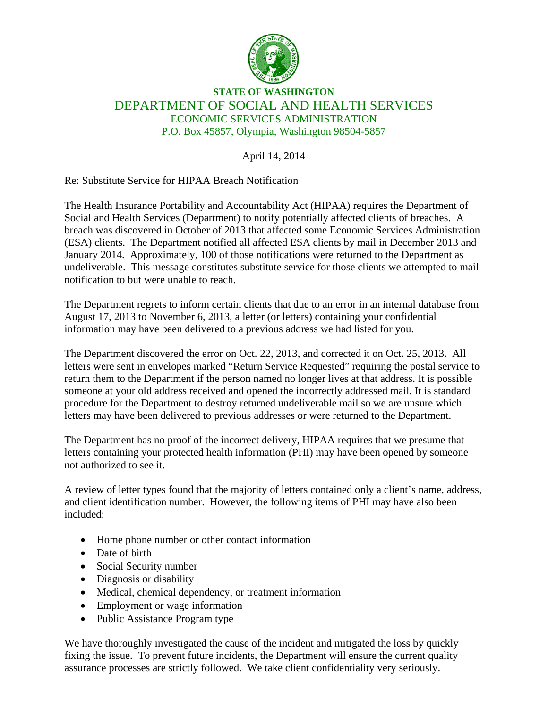

## **STATE OF WASHINGTON** DEPARTMENT OF SOCIAL AND HEALTH SERVICES ECONOMIC SERVICES ADMINISTRATION P.O. Box 45857, Olympia, Washington 98504-5857

April 14, 2014

Re: Substitute Service for HIPAA Breach Notification

The Health Insurance Portability and Accountability Act (HIPAA) requires the Department of Social and Health Services (Department) to notify potentially affected clients of breaches. A breach was discovered in October of 2013 that affected some Economic Services Administration (ESA) clients. The Department notified all affected ESA clients by mail in December 2013 and January 2014. Approximately, 100 of those notifications were returned to the Department as undeliverable. This message constitutes substitute service for those clients we attempted to mail notification to but were unable to reach.

The Department regrets to inform certain clients that due to an error in an internal database from August 17, 2013 to November 6, 2013, a letter (or letters) containing your confidential information may have been delivered to a previous address we had listed for you.

The Department discovered the error on Oct. 22, 2013, and corrected it on Oct. 25, 2013. All letters were sent in envelopes marked "Return Service Requested" requiring the postal service to return them to the Department if the person named no longer lives at that address. It is possible someone at your old address received and opened the incorrectly addressed mail. It is standard procedure for the Department to destroy returned undeliverable mail so we are unsure which letters may have been delivered to previous addresses or were returned to the Department.

The Department has no proof of the incorrect delivery, HIPAA requires that we presume that letters containing your protected health information (PHI) may have been opened by someone not authorized to see it.

A review of letter types found that the majority of letters contained only a client's name, address, and client identification number. However, the following items of PHI may have also been included:

- Home phone number or other contact information
- Date of birth
- Social Security number
- Diagnosis or disability
- Medical, chemical dependency, or treatment information
- Employment or wage information
- Public Assistance Program type

We have thoroughly investigated the cause of the incident and mitigated the loss by quickly fixing the issue. To prevent future incidents, the Department will ensure the current quality assurance processes are strictly followed. We take client confidentiality very seriously.